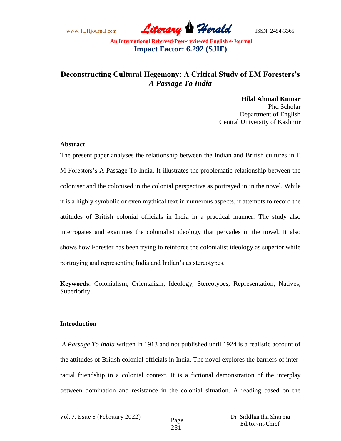www.TLHjournal.com *Literary Herald*ISSN: 2454-3365

# **Deconstructing Cultural Hegemony: A Critical Study of EM Foresters's**  *A Passage To India*

**Hilal Ahmad Kumar** Phd Scholar Department of English Central University of Kashmir

#### **Abstract**

The present paper analyses the relationship between the Indian and British cultures in E M Foresters"s A Passage To India. It illustrates the problematic relationship between the coloniser and the colonised in the colonial perspective as portrayed in in the novel. While it is a highly symbolic or even mythical text in numerous aspects, it attempts to record the attitudes of British colonial officials in India in a practical manner. The study also interrogates and examines the colonialist ideology that pervades in the novel. It also shows how Forester has been trying to reinforce the colonialist ideology as superior while portraying and representing India and Indian"s as stereotypes.

**Keywords**: Colonialism, Orientalism, Ideology, Stereotypes, Representation, Natives, Superiority.

#### **Introduction**

*A Passage To India* written in 1913 and not published until 1924 is a realistic account of the attitudes of British colonial officials in India. The novel explores the barriers of interracial friendship in a colonial context. It is a fictional demonstration of the interplay between domination and resistance in the colonial situation. A reading based on the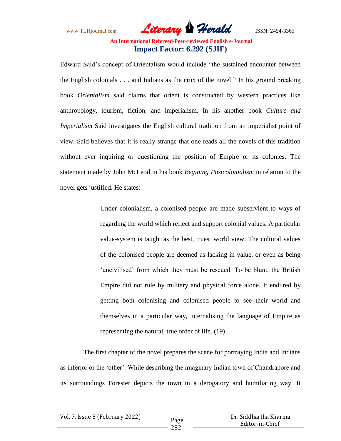www.TLHjournal.com *Literary Herald*ISSN: 2454-3365

Edward Said"s concept of Orientalism would include "the sustained encounter between the English colonials . . . and Indians as the crux of the novel." In his ground breaking book *Orientalism* said claims that orient is constructed by western practices like anthropology, tourism, fiction, and imperialism. In his another book *Culture and Imperialism* Said investigates the English cultural tradition from an imperialist point of view. Said believes that it is really strange that one reads all the novels of this tradition without ever inquiring or questioning the position of Empire or its colonies. The statement made by John McLeod in his book *Begining Postcolonialism* in relation to the novel gets justified. He states:

> Under colonialism, a colonised people are made subservient to ways of regarding the world which reflect and support colonial values. A particular value-system is taught as the best, truest world view. The cultural values of the colonised people are deemed as lacking in value, or even as being 'uncivilised' from which they must be rescued. To be blunt, the British Empire did not rule by military and physical force alone. It endured by getting both colonising and colonised people to see their world and themselves in a particular way, internalising the language of Empire as representing the natural, true order of life. (19)

 The first chapter of the novel prepares the scene for portraying India and Indians as inferior or the "other". While describing the imaginary Indian town of Chandrapore and its surroundings Forester depicts the town in a derogatory and humiliating way. It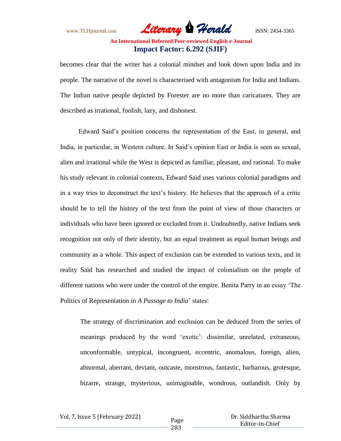www.TLHjournal.com *Literary Herald*ISSN: 2454-3365

becomes clear that the writer has a colonial mindset and look down upon India and its people. The narrative of the novel is characterised with antagonism for India and Indians. The Indian native people depicted by Forester are no more than caricatures. They are described as irrational, foolish, lazy, and dishonest.

 Edward Said"s position concerns the representation of the East, in general, and India, in particular, in Western culture. In Said"s opinion East or India is seen as sexual, alien and irrational while the West is depicted as familiar, pleasant, and rational. To make his study relevant in colonial contexts, Edward Said uses various colonial paradigms and in a way tries to deconstruct the text"s history. He believes that the approach of a critic should be to tell the history of the text from the point of view of those characters or individuals who have been ignored or excluded from it. Undoubtedly, native Indians seek recognition not only of their identity, but an equal treatment as equal human beings and community as a whole. This aspect of exclusion can be extended to various texts, and in reality Said has researched and studied the impact of colonialism on the people of different nations who were under the control of the empire. Benita Parry in an essay "The Politics of Representation in *A Passage to India*" states:

The strategy of discrimination and exclusion can be deduced from the series of meanings produced by the word 'exotic': dissimilar, unrelated, extraneous, unconformable, untypical, incongruent, eccentric, anomalous, foreign, alien, abnormal, aberrant, deviant, outcaste, monstrous, fantastic, barbarous, grotesque, bizarre, strange, mysterious, unimaginable, wondrous, outlandish. Only by

Vol. 7, Issue 5 (February 2022)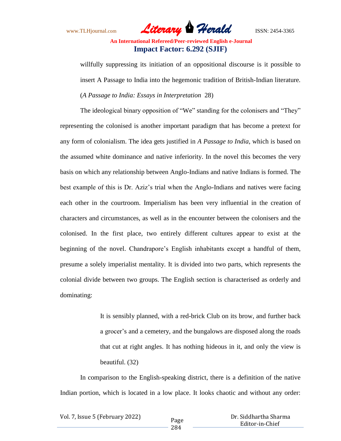www.TLHjournal.com *Literary Herald*ISSN: 2454-3365

willfully suppressing its initiation of an oppositional discourse is it possible to insert A Passage to India into the hegemonic tradition of British-Indian literature*.*  (*A Passage to India: Essays in Interpretation* 28)

The ideological binary opposition of "We" standing for the colonisers and "They" representing the colonised is another important paradigm that has become a pretext for any form of colonialism. The idea gets justified in *A Passage to India*, which is based on the assumed white dominance and native inferiority. In the novel this becomes the very basis on which any relationship between Anglo-Indians and native Indians is formed. The best example of this is Dr. Aziz's trial when the Anglo-Indians and natives were facing each other in the courtroom. Imperialism has been very influential in the creation of characters and circumstances, as well as in the encounter between the colonisers and the colonised. In the first place, two entirely different cultures appear to exist at the beginning of the novel. Chandrapore's English inhabitants except a handful of them, presume a solely imperialist mentality. It is divided into two parts, which represents the colonial divide between two groups. The English section is characterised as orderly and dominating:

> It is sensibly planned, with a red-brick Club on its brow, and further back a grocer"s and a cemetery, and the bungalows are disposed along the roads that cut at right angles. It has nothing hideous in it, and only the view is beautiful. (32)

In comparison to the English-speaking district, there is a definition of the native Indian portion, which is located in a low place. It looks chaotic and without any order:

| Vol. 7, Issue 5 (February 2022) |  |  |
|---------------------------------|--|--|
|---------------------------------|--|--|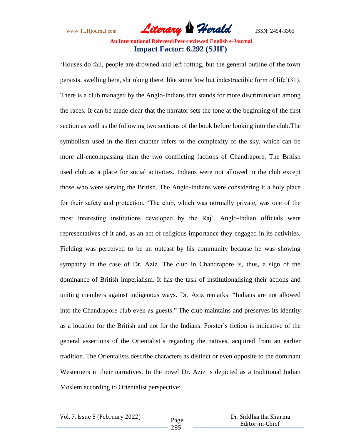www.TLHjournal.com *Literary Herald*ISSN: 2454-3365

"Houses do fall, people are drowned and left rotting, but the general outline of the town persists, swelling here, shrinking there, like some low but indestructible form of life"(31). There is a club managed by the Anglo-Indians that stands for more discrimination among the races. It can be made clear that the narrator sets the tone at the beginning of the first section as well as the following two sections of the book before looking into the club.The symbolism used in the first chapter refers to the complexity of the sky, which can be more all-encompassing than the two conflicting factions of Chandrapore. The British used club as a place for social activities. Indians were not allowed in the club except those who were serving the British. The Anglo-Indians were considering it a holy place for their safety and protection. "The club, which was normally private, was one of the most interesting institutions developed by the Raj". Anglo-Indian officials were representatives of it and, as an act of religious importance they engaged in its activities. Fielding was perceived to be an outcast by his community because he was showing sympathy in the case of Dr. Aziz. The club in Chandrapore is, thus, a sign of the dominance of British imperialism. It has the task of institutionalising their actions and uniting members against indigenous ways. Dr. Aziz remarks: "Indians are not allowed into the Chandrapore club even as guests." The club maintains and preserves its identity as a location for the British and not for the Indians. Forster"s fiction is indicative of the general assertions of the Orientalist's regarding the natives, acquired from an earlier tradition. The Orientalists describe characters as distinct or even opposite to the dominant Westerners in their narratives. In the novel Dr. Aziz is depicted as a traditional Indian Moslem according to Orientalist perspective:

Vol. 7, Issue 5 (February 2022)

 Dr. Siddhartha Sharma Editor-in-Chief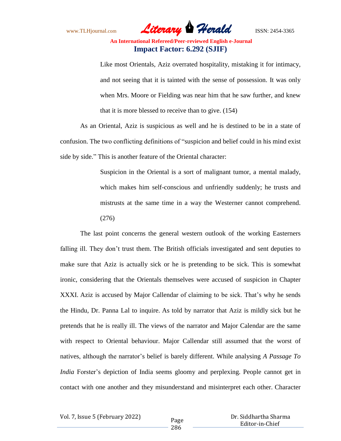www.TLHjournal.com *Literary Herald*ISSN: 2454-3365

Like most Orientals, Aziz overrated hospitality, mistaking it for intimacy, and not seeing that it is tainted with the sense of possession. It was only when Mrs. Moore or Fielding was near him that he saw further, and knew that it is more blessed to receive than to give. (154)

As an Oriental, Aziz is suspicious as well and he is destined to be in a state of confusion. The two conflicting definitions of "suspicion and belief could in his mind exist side by side." This is another feature of the Oriental character:

> Suspicion in the Oriental is a sort of malignant tumor, a mental malady, which makes him self-conscious and unfriendly suddenly; he trusts and mistrusts at the same time in a way the Westerner cannot comprehend. (276)

The last point concerns the general western outlook of the working Easterners falling ill. They don't trust them. The British officials investigated and sent deputies to make sure that Aziz is actually sick or he is pretending to be sick. This is somewhat ironic, considering that the Orientals themselves were accused of suspicion in Chapter XXXI. Aziz is accused by Major Callendar of claiming to be sick. That's why he sends the Hindu, Dr. Panna Lal to inquire. As told by narrator that Aziz is mildly sick but he pretends that he is really ill. The views of the narrator and Major Calendar are the same with respect to Oriental behaviour. Major Callendar still assumed that the worst of natives, although the narrator"s belief is barely different. While analysing *A Passage To India* Forster's depiction of India seems gloomy and perplexing. People cannot get in contact with one another and they misunderstand and misinterpret each other. Character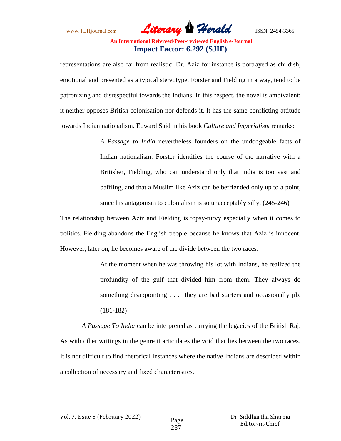www.TLHjournal.com *Literary Herald*ISSN: 2454-3365

representations are also far from realistic. Dr. Aziz for instance is portrayed as childish, emotional and presented as a typical stereotype. Forster and Fielding in a way, tend to be patronizing and disrespectful towards the Indians. In this respect, the novel is ambivalent: it neither opposes British colonisation nor defends it. It has the same conflicting attitude towards Indian nationalism. Edward Said in his book *Culture and Imperialism* remarks:

> *A Passage to India* nevertheless founders on the undodgeable facts of Indian nationalism. Forster identifies the course of the narrative with a Britisher, Fielding, who can understand only that India is too vast and baffling, and that a Muslim like Aziz can be befriended only up to a point, since his antagonism to colonialism is so unacceptably silly. (245-246)

The relationship between Aziz and Fielding is topsy-turvy especially when it comes to politics. Fielding abandons the English people because he knows that Aziz is innocent. However, later on, he becomes aware of the divide between the two races:

> At the moment when he was throwing his lot with Indians, he realized the profundity of the gulf that divided him from them. They always do something disappointing . . . they are bad starters and occasionally jib. (181-182)

*A Passage To India* can be interpreted as carrying the legacies of the British Raj. As with other writings in the genre it articulates the void that lies between the two races. It is not difficult to find rhetorical instances where the native Indians are described within a collection of necessary and fixed characteristics.

Vol. 7, Issue 5 (February 2022)